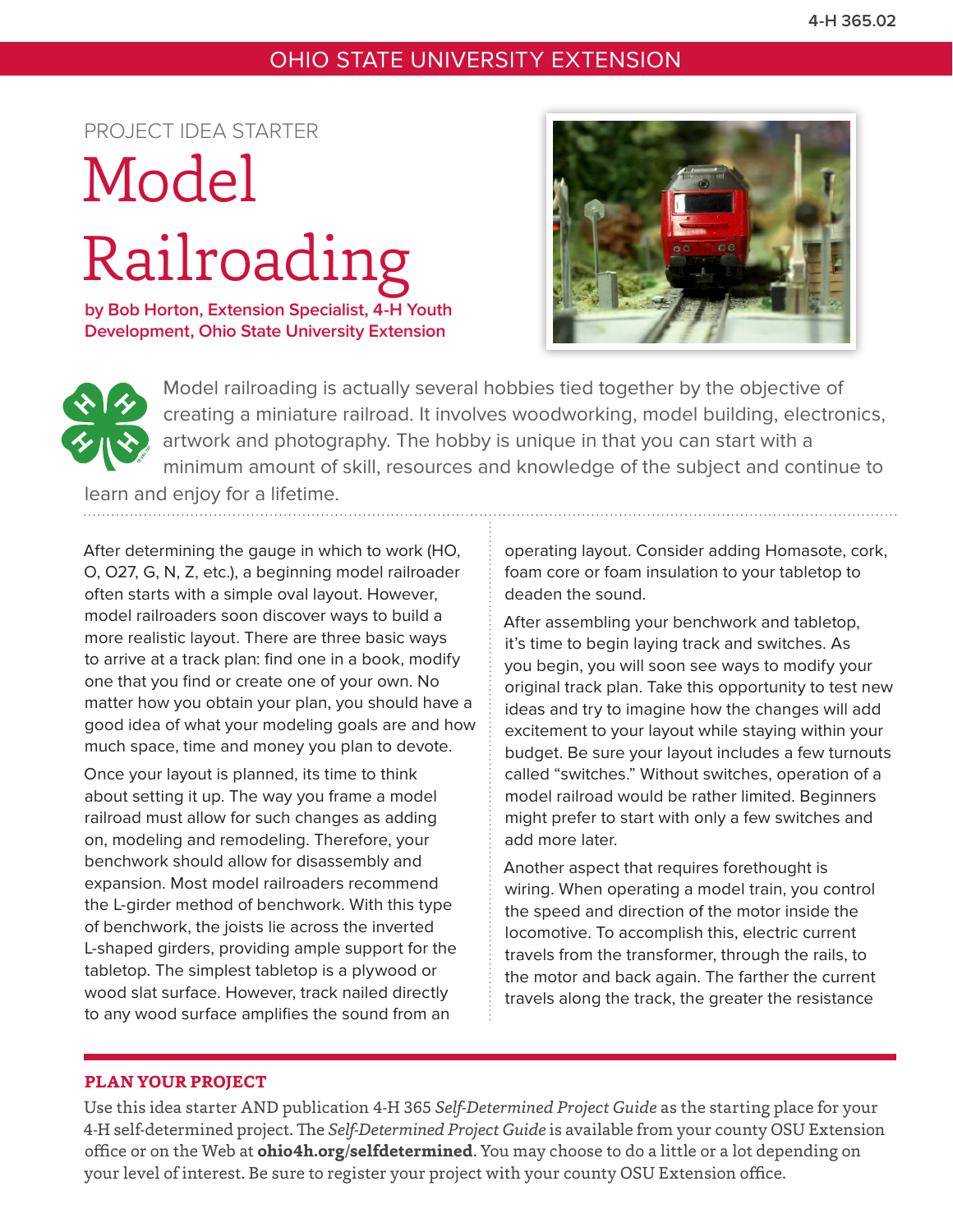# OHIO STATE UNIVERSITY EXTENSION

# PROJECT IDEA STARTER

# Model Railroading

**by Bob Horton, Extension Specialist, 4-H Youth Development, Ohio State University Extension**





Model railroading is actually several hobbies tied together by the objective of creating a miniature railroad. It involves woodworking, model building, electronics, artwork and photography. The hobby is unique in that you can start with a minimum amount of skill, resources and knowledge of the subject and continue to

learn and enjoy for a lifetime.

After determining the gauge in which to work (HO, O, O27, G, N, Z, etc.), a beginning model railroader often starts with a simple oval layout. However, model railroaders soon discover ways to build a more realistic layout. There are three basic ways to arrive at a track plan: find one in a book, modify one that you find or create one of your own. No matter how you obtain your plan, you should have a good idea of what your modeling goals are and how much space, time and money you plan to devote.

Once your layout is planned, its time to think about setting it up. The way you frame a model railroad must allow for such changes as adding on, modeling and remodeling. Therefore, your benchwork should allow for disassembly and expansion. Most model railroaders recommend the L-girder method of benchwork. With this type of benchwork, the joists lie across the inverted L-shaped girders, providing ample support for the tabletop. The simplest tabletop is a plywood or wood slat surface. However, track nailed directly to any wood surface amplifies the sound from an

operating layout. Consider adding Homasote, cork, foam core or foam insulation to your tabletop to deaden the sound.

After assembling your benchwork and tabletop, it's time to begin laying track and switches. As you begin, you will soon see ways to modify your original track plan. Take this opportunity to test new ideas and try to imagine how the changes will add excitement to your layout while staying within your budget. Be sure your layout includes a few turnouts called "switches." Without switches, operation of a model railroad would be rather limited. Beginners might prefer to start with only a few switches and add more later.

Another aspect that requires forethought is wiring. When operating a model train, you control the speed and direction of the motor inside the locomotive. To accomplish this, electric current travels from the transformer, through the rails, to the motor and back again. The farther the current travels along the track, the greater the resistance

## **PLAN YOUR PROJECT**

Use this idea starter AND publication 4-H 365 *Self-Determined Project Guide* as the starting place for your 4-H self-determined project. The *Self-Determined Project Guide* is available from your county OSU Extension office or on the Web at **ohio4h.org/selfdetermined**. You may choose to do a little or a lot depending on your level of interest. Be sure to register your project with your county OSU Extension office.